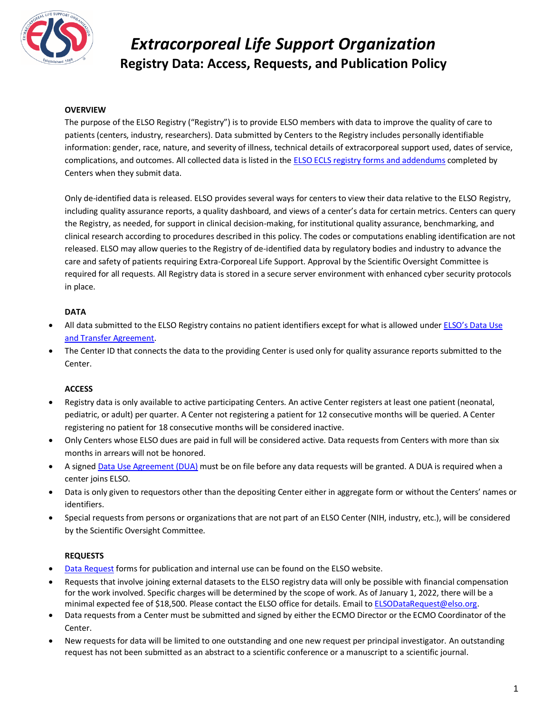

## *Extracorporeal Life Support Organization* **Registry Data: Access, Requests, and Publication Policy**

### **OVERVIEW**

The purpose of the ELSO Registry ("Registry") is to provide ELSO members with data to improve the quality of care to patients (centers, industry, researchers). Data submitted by Centers to the Registry includes personally identifiable information: gender, race, nature, and severity of illness, technical details of extracorporeal support used, dates of service, complications, and outcomes. All collected data is listed in th[e ELSO ECLS registry forms](https://www.elso.org/Registry/DataDefinitions,Forms,Instructions.aspx) and addendums completed by Centers when they submit data.

Only de-identified data is released. ELSO provides several ways for centers to view their data relative to the ELSO Registry, including quality assurance reports, a quality dashboard, and views of a center's data for certain metrics. Centers can query the Registry, as needed, for support in clinical decision-making, for institutional quality assurance, benchmarking, and clinical research according to procedures described in this policy. The codes or computations enabling identification are not released. ELSO may allow queries to the Registry of de-identified data by regulatory bodies and industry to advance the care and safety of patients requiring Extra-Corporeal Life Support. Approval by the Scientific Oversight Committee is required for all requests. All Registry data is stored in a secure server environment with enhanced cyber security protocols in place.

### **DATA**

- All data submitted to the ELSO Registry contains no patient identifiers except for what is allowed under [ELSO's Data Use](https://www.elso.org/Portals/0/Files/ELSO%20DUA%202021-01-21.docx)  [and Transfer Agreement.](https://www.elso.org/Portals/0/Files/ELSO%20DUA%202021-01-21.docx)
- The Center ID that connects the data to the providing Center is used only for quality assurance reports submitted to the Center.

### **ACCESS**

- Registry data is only available to active participating Centers. An active Center registers at least one patient (neonatal, pediatric, or adult) per quarter. A Center not registering a patient for 12 consecutive months will be queried. A Center registering no patient for 18 consecutive months will be considered inactive.
- Only Centers whose ELSO dues are paid in full will be considered active. Data requests from Centers with more than six months in arrears will not be honored.
- A signed [Data Use Agreement \(DUA\)](https://www.elso.org/Portals/0/Files/ELSO%20DUA%202021-01-21.docx) must be on file before any data requests will be granted. A DUA is required when a center joins ELSO.
- Data is only given to requestors other than the depositing Center either in aggregate form or without the Centers' names or identifiers.
- Special requests from persons or organizations that are not part of an ELSO Center (NIH, industry, etc.), will be considered by the Scientific Oversight Committee.

### **REQUESTS**

- [Data Request](https://www.elso.org/Registry/DataRequest.aspx) forms for publication and internal use can be found on the ELSO website.
- Requests that involve joining external datasets to the ELSO registry data will only be possible with financial compensation for the work involved. Specific charges will be determined by the scope of work. As of January 1, 2022, there will be a minimal expected fee of \$18,500. Please contact the ELSO office for details. Email t[o ELSODataRequest@elso.org.](mailto:ELSODataRequest@elso.org)
- Data requests from a Center must be submitted and signed by either the ECMO Director or the ECMO Coordinator of the Center.
- New requests for data will be limited to one outstanding and one new request per principal investigator. An outstanding request has not been submitted as an abstract to a scientific conference or a manuscript to a scientific journal.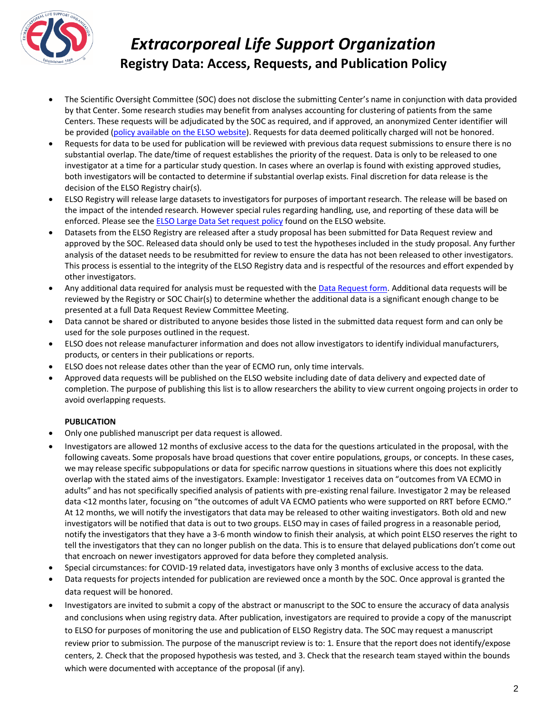

# *Extracorporeal Life Support Organization* **Registry Data: Access, Requests, and Publication Policy**

- The Scientific Oversight Committee (SOC) does not disclose the submitting Center's name in conjunction with data provided by that Center. Some research studies may benefit from analyses accounting for clustering of patients from the same Centers. These requests will be adjudicated by the SOC as required, and if approved, an anonymized Center identifier will be provided [\(policy available on the ELSO website\)](https://www.elso.org/Portals/0/Large%20Datasets%20Request%20Form%202021-01-25.pdf). Requests for data deemed politically charged will not be honored.
- Requests for data to be used for publication will be reviewed with previous data request submissions to ensure there is no substantial overlap. The date/time of request establishes the priority of the request. Data is only to be released to one investigator at a time for a particular study question. In cases where an overlap is found with existing approved studies, both investigators will be contacted to determine if substantial overlap exists. Final discretion for data release is the decision of the ELSO Registry chair(s).
- ELSO Registry will release large datasets to investigators for purposes of important research. The release will be based on the impact of the intended research. However special rules regarding handling, use, and reporting of these data will be enforced. Please see the **ELSO Large Data Set request policy** found on the ELSO website.
- Datasets from the ELSO Registry are released after a study proposal has been submitted for Data Request review and approved by the SOC. Released data should only be used to test the hypotheses included in the study proposal. Any further analysis of the dataset needs to be resubmitted for review to ensure the data has not been released to other investigators. This process is essential to the integrity of the ELSO Registry data and is respectful of the resources and effort expended by other investigators.
- Any additional data required for analysis must be requested with the [Data Request form.](https://www.elso.org/Registry/DataRequest.aspx) Additional data requests will be reviewed by the Registry or SOC Chair(s) to determine whether the additional data is a significant enough change to be presented at a full Data Request Review Committee Meeting.
- Data cannot be shared or distributed to anyone besides those listed in the submitted data request form and can only be used for the sole purposes outlined in the request.
- ELSO does not release manufacturer information and does not allow investigators to identify individual manufacturers, products, or centers in their publications or reports.
- ELSO does not release dates other than the year of ECMO run, only time intervals.
- Approved data requests will be published on the ELSO website including date of data delivery and expected date of completion. The purpose of publishing this list is to allow researchers the ability to view current ongoing projects in order to avoid overlapping requests.

## **PUBLICATION**

- Only one published manuscript per data request is allowed.
- Investigators are allowed 12 months of exclusive access to the data for the questions articulated in the proposal, with the following caveats. Some proposals have broad questions that cover entire populations, groups, or concepts. In these cases, we may release specific subpopulations or data for specific narrow questions in situations where this does not explicitly overlap with the stated aims of the investigators. Example: Investigator 1 receives data on "outcomes from VA ECMO in adults" and has not specifically specified analysis of patients with pre-existing renal failure. Investigator 2 may be released data <12 months later, focusing on "the outcomes of adult VA ECMO patients who were supported on RRT before ECMO." At 12 months, we will notify the investigators that data may be released to other waiting investigators. Both old and new investigators will be notified that data is out to two groups. ELSO may in cases of failed progress in a reasonable period, notify the investigators that they have a 3-6 month window to finish their analysis, at which point ELSO reserves the right to tell the investigators that they can no longer publish on the data. This is to ensure that delayed publications don't come out that encroach on newer investigators approved for data before they completed analysis.
- Special circumstances: for COVID-19 related data, investigators have only 3 months of exclusive access to the data.
- Data requests for projects intended for publication are reviewed once a month by the SOC. Once approval is granted the data request will be honored.
- Investigators are invited to submit a copy of the abstract or manuscript to the SOC to ensure the accuracy of data analysis and conclusions when using registry data. After publication, investigators are required to provide a copy of the manuscript to ELSO for purposes of monitoring the use and publication of ELSO Registry data. The SOC may request a manuscript review prior to submission. The purpose of the manuscript review is to: 1. Ensure that the report does not identify/expose centers, 2. Check that the proposed hypothesis was tested, and 3. Check that the research team stayed within the bounds which were documented with acceptance of the proposal (if any).